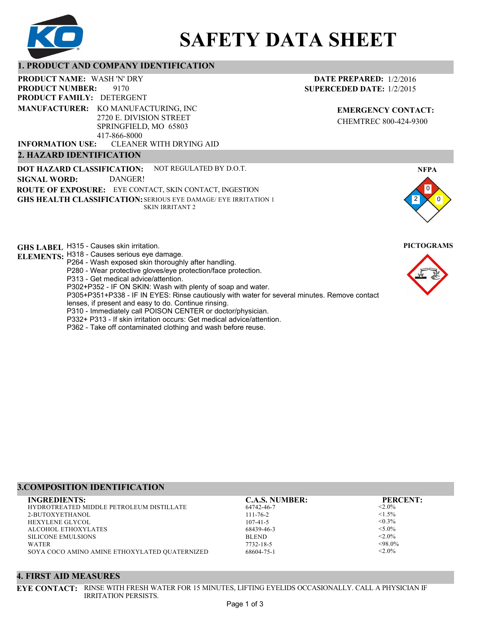

# **SAFETY DATA SHEET**

# **1. PRODUCT AND COMPANY IDENTIFICATION**

9170 **PRODUCT NAME: WASH 'N' DRY PRODUCT FAMILY: DETERGENT** CLEANER WITH DRYING AID **PRODUCT NUMBER: 2. HAZARD IDENTIFICATION MANUFACTURER:** KO MANUFACTURING, INC 2720 E. DIVISION STREET SPRINGFIELD, MO 65803 417-866-8000 **INFORMATION USE:**

**DOT HAZARD CLASSIFICATION: GHS HEALTH CLASSIFICATION:** SERIOUS EYE DAMAGE/ EYE IRRITATION 1 **ROUTE OF EXPOSURE:** EYE CONTACT, SKIN CONTACT, INGESTION NOT REGULATED BY D.O.T. SKIN IRRITANT 2 **SIGNAL WORD:** DANGER!

**GHS LABEL**  H315 - Causes skin irritation. **PICTOGRAMS**

- **ELEMENTS:** H318 Causes serious eye damage.
	- P264 Wash exposed skin thoroughly after handling. P280 - Wear protective gloves/eye protection/face protection.
	- P313 Get medical advice/attention.
	- P302+P352 IF ON SKIN: Wash with plenty of soap and water.

P305+P351+P338 - IF IN EYES: Rinse cautiously with water for several minutes. Remove contact

- lenses, if present and easy to do. Continue rinsing.
- P310 Immediately call POISON CENTER or doctor/physician.
- P332+ P313 If skin irritation occurs: Get medical advice/attention.
- P362 Take off contaminated clothing and wash before reuse.

# **DATE PREPARED:** 1/2/2016 **SUPERCEDED DATE:** 1/2/2015

**EMERGENCY CONTACT:** CHEMTREC 800-424-9300





# **3.COMPOSITION IDENTIFICATION**

| <b>INGREDIENTS:</b>                           | <b>C.A.S. NUMBER:</b> | <b>PERCENT:</b> |
|-----------------------------------------------|-----------------------|-----------------|
| HYDROTREATED MIDDLE PETROLEUM DISTILLATE      | 64742-46-7            | $< 2.0\%$       |
| 2-BUTOXYETHANOL                               | $111 - 76 - 2$        | $\leq 1.5\%$    |
| <b>HEXYLENE GLYCOL</b>                        | $107 - 41 - 5$        | $< 0.3\%$       |
| ALCOHOL ETHOXYLATES                           | 68439-46-3            | $< 5.0\%$       |
| <b>SILICONE EMULSIONS</b>                     | <b>BLEND</b>          | $< 2.0\%$       |
| WATER                                         | 7732-18-5             | $<98.0\%$       |
| SOYA COCO AMINO AMINE ETHOXYLATED QUATERNIZED | 68604-75-1            | $<$ 2.0%        |

#### **4. FIRST AID MEASURES**

**EYE CONTACT:** RINSE WITH FRESH WATER FOR 15 MINUTES, LIFTING EYELIDS OCCASIONALLY. CALL A PHYSICIAN IF IRRITATION PERSISTS.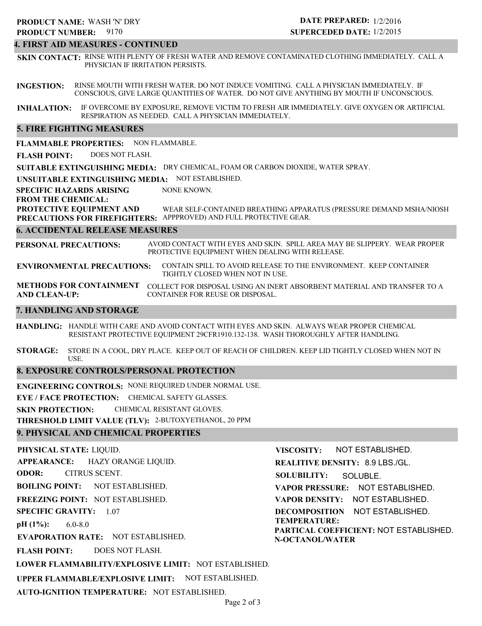#### **4. FIRST AID MEASURES - CONTINUED**

**SKIN CONTACT:** RINSE WITH PLENTY OF FRESH WATER AND REMOVE CONTAMINATED CLOTHING IMMEDIATELY. CALL A PHYSICIAN IF IRRITATION PERSISTS.

**INGESTION:** RINSE MOUTH WITH FRESH WATER. DO NOT INDUCE VOMITING. CALL A PHYSICIAN IMMEDIATELY. IF CONSCIOUS, GIVE LARGE QUANTITIES OF WATER. DO NOT GIVE ANYTHING BY MOUTH IF UNCONSCIOUS.

**INHALATION:** IF OVERCOME BY EXPOSURE, REMOVE VICTIM TO FRESH AIR IMMEDIATELY. GIVE OXYGEN OR ARTIFICIAL RESPIRATION AS NEEDED. CALL A PHYSICIAN IMMEDIATELY.

### **5. FIRE FIGHTING MEASURES**

**FLAMMABLE PROPERTIES:** NON FLAMMABLE.

**FLASH POINT:** DOES NOT FLASH.

**SUITABLE EXTINGUISHING MEDIA:** DRY CHEMICAL, FOAM OR CARBON DIOXIDE, WATER SPRAY.

**UNSUITABLE EXTINGUISHING MEDIA:** NOT ESTABLISHED.

**SPECIFIC HAZARDS ARISING** NONE KNOWN.

#### **FROM THE CHEMICAL:**

**PROTECTIVE EQUIPMENT AND PRECAUTIONS FOR FIREFIGHTERS:** APPPROVED) AND FULL PROTECTIVE GEAR. WEAR SELF-CONTAINED BREATHING APPARATUS (PRESSURE DEMAND MSHA/NIOSH

#### **6. ACCIDENTAL RELEASE MEASURES**

**PERSONAL PRECAUTIONS:** AVOID CONTACT WITH EYES AND SKIN. SPILL AREA MAY BE SLIPPERY. WEAR PROPER PROTECTIVE EQUIPMENT WHEN DEALING WITH RELEASE.

**ENVIRONMENTAL PRECAUTIONS:** CONTAIN SPILL TO AVOID RELEASE TO THE ENVIRONMENT. KEEP CONTAINER TIGHTLY CLOSED WHEN NOT IN USE.

**METHODS FOR CONTAINMENT** COLLECT FOR DISPOSAL USING AN INERT ABSORBENT MATERIAL AND TRANSFER TO A **AND CLEAN-UP:** CONTAINER FOR REUSE OR DISPOSAL.

#### **7. HANDLING AND STORAGE**

**HANDLING:** HANDLE WITH CARE AND AVOID CONTACT WITH EYES AND SKIN. ALWAYS WEAR PROPER CHEMICAL RESISTANT PROTECTIVE EQUIPMENT 29CFR1910.132-138. WASH THOROUGHLY AFTER HANDLING.

**STORAGE:** STORE IN A COOL, DRY PLACE. KEEP OUT OF REACH OF CHILDREN. KEEP LID TIGHTLY CLOSED WHEN NOT IN USE.

#### **8. EXPOSURE CONTROLS/PERSONAL PROTECTION**

**ENGINEERING CONTROLS:** NONE REQUIRED UNDER NORMAL USE.

**EYE / FACE PROTECTION:** CHEMICAL SAFETY GLASSES.

**SKIN PROTECTION:** CHEMICAL RESISTANT GLOVES.

**THRESHOLD LIMIT VALUE (TLV):** 2-BUTOXYETHANOL, 20 PPM

## **9. PHYSICAL AND CHEMICAL PROPERTIES**

**PHYSICAL STATE:** LIQUID. **APPEARANCE: ODOR: BOILING POINT:** NOT ESTABLISHED. **FREEZING POINT:** NOT ESTABLISHED. **SPECIFIC GRAVITY:** 1.07 **pH (1%): EVAPORATION RATE:** NOT ESTABLISHED. **FLASH POINT: LOWER FLAMMABILITY/EXPLOSIVE LIMIT:** NOT ESTABLISHED. **UPPER FLAMMABLE/EXPLOSIVE LIMIT:** NOT ESTABLISHED. 6.0-8.0 DOES NOT FLASH. HAZY ORANGE LIQUID. CITRUS SCENT. **VISCOSITY: REALITIVE DENSITY:** 8.9 LBS./GL. **SOLUBILITY: VAPOR PRESSURE:** NOT ESTABLISHED. **VAPOR DENSITY:** NOT ESTABLISHED. **DECOMPOSITION** NOT ESTABLISHED. **TEMPERATURE: PARTICAL COEFFICIENT:** NOT ESTABLISHED. **N-OCTANOL/WATER** NOT ESTABLISHED. SOLUBLE.

**AUTO-IGNITION TEMPERATURE:** NOT ESTABLISHED.